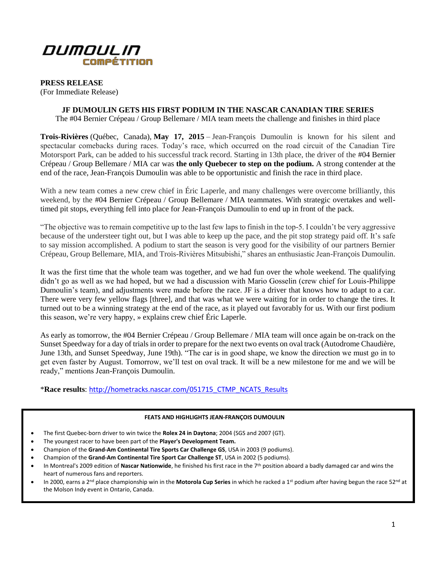

**PRESS RELEASE**

(For Immediate Release)

**JF DUMOULIN GETS HIS FIRST PODIUM IN THE NASCAR CANADIAN TIRE SERIES**

The #04 Bernier Crépeau / Group Bellemare / MIA team meets the challenge and finishes in third place

**Trois-Rivières** (Québec, Canada), **May 17, 2015** – Jean-François Dumoulin is known for his silent and spectacular comebacks during races. Today's race, which occurred on the road circuit of the Canadian Tire Motorsport Park, can be added to his successful track record. Starting in 13th place, the driver of the #04 Bernier Crépeau / Group Bellemare / MIA car was **the only Quebecer to step on the podium.** A strong contender at the end of the race, Jean-François Dumoulin was able to be opportunistic and finish the race in third place.

With a new team comes a new crew chief in Éric Laperle, and many challenges were overcome brilliantly, this weekend, by the #04 Bernier Crépeau / Group Bellemare / MIA teammates. With strategic overtakes and welltimed pit stops, everything fell into place for Jean-François Dumoulin to end up in front of the pack.

"The objective was to remain competitive up to the last few laps to finish in the top-5. I couldn't be very aggressive because of the understeer tight out, but I was able to keep up the pace, and the pit stop strategy paid off. It's safe to say mission accomplished. A podium to start the season is very good for the visibility of our partners Bernier Crépeau, Group Bellemare, MIA, and Trois-Rivières Mitsubishi," shares an enthusiastic Jean-François Dumoulin.

It was the first time that the whole team was together, and we had fun over the whole weekend. The qualifying didn't go as well as we had hoped, but we had a discussion with Mario Gosselin (crew chief for Louis-Philippe Dumoulin's team), and adjustments were made before the race. JF is a driver that knows how to adapt to a car. There were very few yellow flags [three], and that was what we were waiting for in order to change the tires. It turned out to be a winning strategy at the end of the race, as it played out favorably for us. With our first podium this season, we're very happy, » explains crew chief Éric Laperle.

As early as tomorrow, the #04 Bernier Crépeau / Group Bellemare / MIA team will once again be on-track on the Sunset Speedway for a day of trials in order to prepare for the next two events on oval track (Autodrome Chaudière, June 13th, and Sunset Speedway, June 19th). "The car is in good shape, we know the direction we must go in to get even faster by August. Tomorrow, we'll test on oval track. It will be a new milestone for me and we will be ready," mentions Jean-François Dumoulin.

\***Race results**: [http://hometracks.nascar.com/051715\\_CTMP\\_NCATS\\_Results](http://hometracks.nascar.com/051715_CTMP_NCATS_Results)

#### **FEATS AND HIGHLIGHTS JEAN-FRANÇOIS DUMOULIN**

- The first Quebec-born driver to win twice the **Rolex 24 in Daytona**; 2004 (SGS and 2007 (GT).
- The youngest racer to have been part of the **Player's Development Team.**
- Champion of the **Grand-Am Continental Tire Sports Car Challenge GS**, USA in 2003 (9 podiums).
- Champion of the **Grand-Am Continental Tire Sport Car Challenge ST**, USA in 2002 (5 podiums).
- In Montreal's 2009 edition of **Nascar Nationwide**, he finished his first race in the 7th position aboard a badly damaged car and wins the heart of numerous fans and reporters.
- In 2000, earns a 2nd place championship win in the **Motorola Cup Series** in which he racked a 1st podium after having begun the race 52nd at the Molson Indy event in Ontario, Canada.